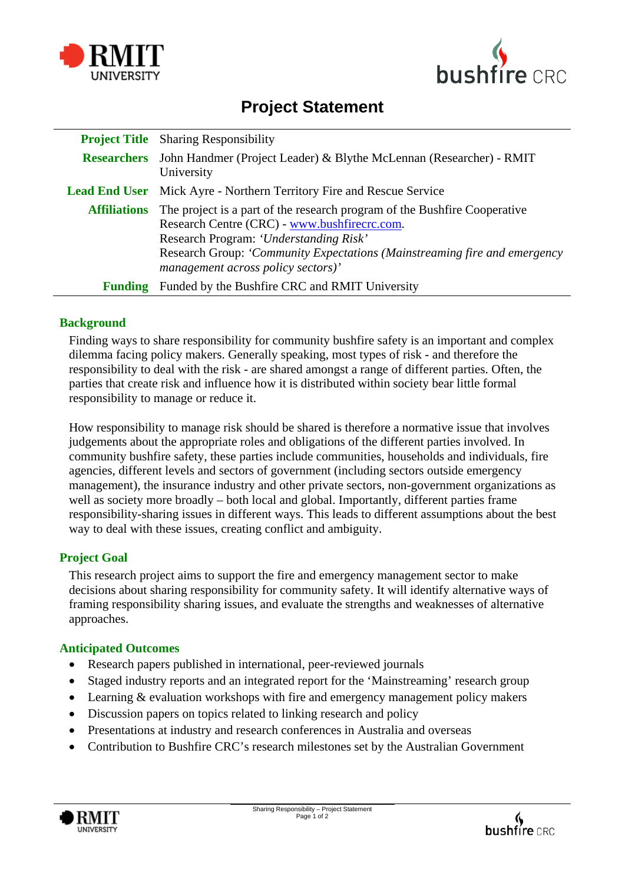



# **Project Statement**

|                     | <b>Project Title</b> Sharing Responsibility                                                                                                                                                                                                                                            |
|---------------------|----------------------------------------------------------------------------------------------------------------------------------------------------------------------------------------------------------------------------------------------------------------------------------------|
|                     | <b>Researchers</b> John Handmer (Project Leader) & Blythe McLennan (Researcher) - RMIT<br>University                                                                                                                                                                                   |
|                     | <b>Lead End User</b> Mick Ayre - Northern Territory Fire and Rescue Service                                                                                                                                                                                                            |
| <b>Affiliations</b> | The project is a part of the research program of the Bushfire Cooperative<br>Research Centre (CRC) - www.bushfirecrc.com.<br>Research Program: 'Understanding Risk'<br>Research Group: 'Community Expectations (Mainstreaming fire and emergency<br>management across policy sectors)' |
| Funding             | Funded by the Bushfire CRC and RMIT University                                                                                                                                                                                                                                         |

## **Background**

Finding ways to share responsibility for community bushfire safety is an important and complex dilemma facing policy makers. Generally speaking, most types of risk - and therefore the responsibility to deal with the risk - are shared amongst a range of different parties. Often, the parties that create risk and influence how it is distributed within society bear little formal responsibility to manage or reduce it.

How responsibility to manage risk should be shared is therefore a normative issue that involves judgements about the appropriate roles and obligations of the different parties involved. In community bushfire safety, these parties include communities, households and individuals, fire agencies, different levels and sectors of government (including sectors outside emergency management), the insurance industry and other private sectors, non-government organizations as well as society more broadly – both local and global. Importantly, different parties frame responsibility-sharing issues in different ways. This leads to different assumptions about the best way to deal with these issues, creating conflict and ambiguity.

## **Project Goal**

This research project aims to support the fire and emergency management sector to make decisions about sharing responsibility for community safety. It will identify alternative ways of framing responsibility sharing issues, and evaluate the strengths and weaknesses of alternative approaches.

## **Anticipated Outcomes**

- Research papers published in international, peer-reviewed journals
- Staged industry reports and an integrated report for the 'Mainstreaming' research group
- Learning & evaluation workshops with fire and emergency management policy makers
- Discussion papers on topics related to linking research and policy
- Presentations at industry and research conferences in Australia and overseas
- Contribution to Bushfire CRC's research milestones set by the Australian Government